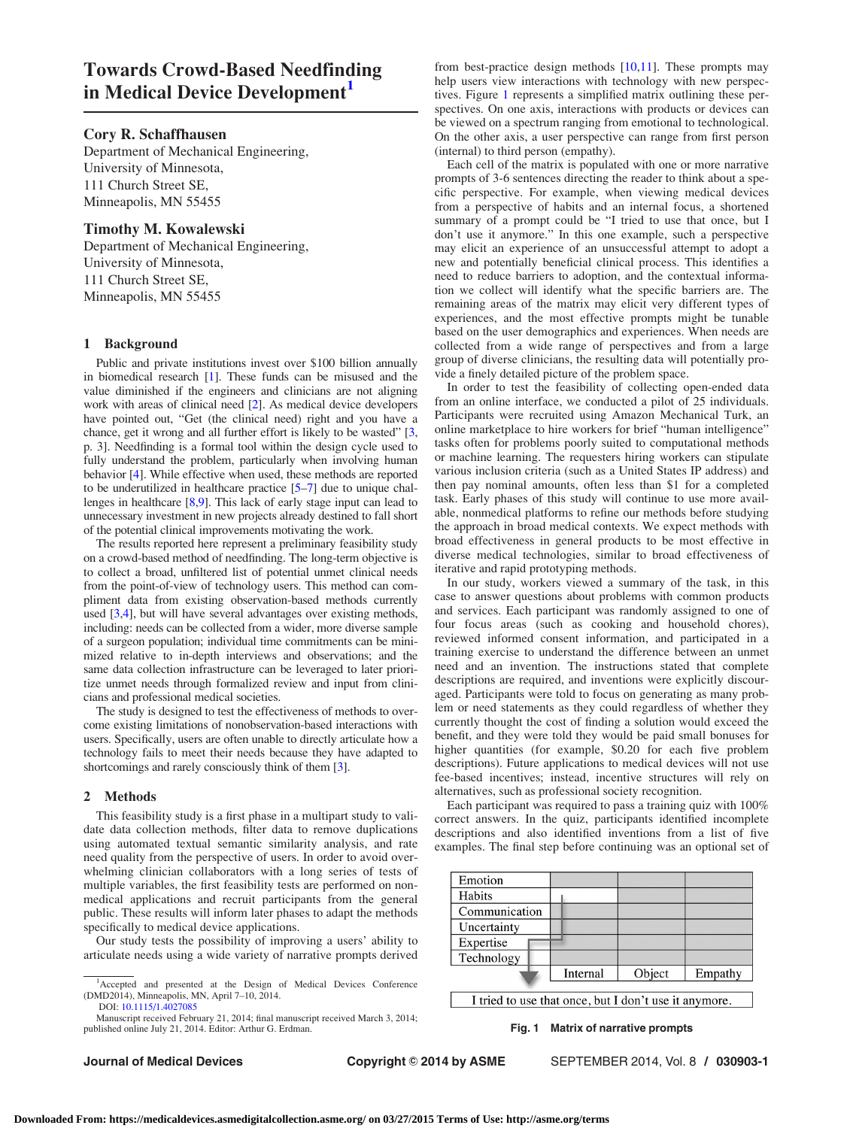# Towards Crowd-Based Needfinding in Medical Device Development<sup>1</sup>

## Cory R. Schaffhausen

Department of Mechanical Engineering, University of Minnesota, 111 Church Street SE, Minneapolis, MN 55455

# Timothy M. Kowalewski

Department of Mechanical Engineering, University of Minnesota, 111 Church Street SE, Minneapolis, MN 55455

# 1 Background

Public and private institutions invest over \$100 billion annually in biomedical research [[1](#page-1-0)]. These funds can be misused and the value diminished if the engineers and clinicians are not aligning work with areas of clinical need [\[2](#page-1-0)]. As medical device developers have pointed out, "Get (the clinical need) right and you have a chance, get it wrong and all further effort is likely to be wasted" [\[3,](#page-1-0) p. 3]. Needfinding is a formal tool within the design cycle used to fully understand the problem, particularly when involving human behavior [[4](#page-1-0)]. While effective when used, these methods are reported to be underutilized in healthcare practice [[5–7\]](#page-1-0) due to unique challenges in healthcare [[8,9\]](#page-1-0). This lack of early stage input can lead to unnecessary investment in new projects already destined to fall short of the potential clinical improvements motivating the work.

The results reported here represent a preliminary feasibility study on a crowd-based method of needfinding. The long-term objective is to collect a broad, unfiltered list of potential unmet clinical needs from the point-of-view of technology users. This method can compliment data from existing observation-based methods currently used [[3,4\]](#page-1-0), but will have several advantages over existing methods, including: needs can be collected from a wider, more diverse sample of a surgeon population; individual time commitments can be minimized relative to in-depth interviews and observations; and the same data collection infrastructure can be leveraged to later prioritize unmet needs through formalized review and input from clinicians and professional medical societies.

The study is designed to test the effectiveness of methods to overcome existing limitations of nonobservation-based interactions with users. Specifically, users are often unable to directly articulate how a technology fails to meet their needs because they have adapted to shortcomings and rarely consciously think of them [\[3](#page-1-0)].

## 2 Methods

This feasibility study is a first phase in a multipart study to validate data collection methods, filter data to remove duplications using automated textual semantic similarity analysis, and rate need quality from the perspective of users. In order to avoid overwhelming clinician collaborators with a long series of tests of multiple variables, the first feasibility tests are performed on nonmedical applications and recruit participants from the general public. These results will inform later phases to adapt the methods specifically to medical device applications.

Our study tests the possibility of improving a users' ability to articulate needs using a wide variety of narrative prompts derived

Manuscript received February 21, 2014; final manuscript received March 3, 2014; published online July 21, 2014. Editor: Arthur G. Erdman.

from best-practice design methods  $[10,11]$ . These prompts may help users view interactions with technology with new perspectives. Figure 1 represents a simplified matrix outlining these perspectives. On one axis, interactions with products or devices can be viewed on a spectrum ranging from emotional to technological. On the other axis, a user perspective can range from first person (internal) to third person (empathy).

Each cell of the matrix is populated with one or more narrative prompts of 3-6 sentences directing the reader to think about a specific perspective. For example, when viewing medical devices from a perspective of habits and an internal focus, a shortened summary of a prompt could be "I tried to use that once, but I don't use it anymore." In this one example, such a perspective may elicit an experience of an unsuccessful attempt to adopt a new and potentially beneficial clinical process. This identifies a need to reduce barriers to adoption, and the contextual information we collect will identify what the specific barriers are. The remaining areas of the matrix may elicit very different types of experiences, and the most effective prompts might be tunable based on the user demographics and experiences. When needs are collected from a wide range of perspectives and from a large group of diverse clinicians, the resulting data will potentially provide a finely detailed picture of the problem space.

In order to test the feasibility of collecting open-ended data from an online interface, we conducted a pilot of 25 individuals. Participants were recruited using Amazon Mechanical Turk, an online marketplace to hire workers for brief "human intelligence" tasks often for problems poorly suited to computational methods or machine learning. The requesters hiring workers can stipulate various inclusion criteria (such as a United States IP address) and then pay nominal amounts, often less than \$1 for a completed task. Early phases of this study will continue to use more available, nonmedical platforms to refine our methods before studying the approach in broad medical contexts. We expect methods with broad effectiveness in general products to be most effective in diverse medical technologies, similar to broad effectiveness of iterative and rapid prototyping methods.

In our study, workers viewed a summary of the task, in this case to answer questions about problems with common products and services. Each participant was randomly assigned to one of four focus areas (such as cooking and household chores), reviewed informed consent information, and participated in a training exercise to understand the difference between an unmet need and an invention. The instructions stated that complete descriptions are required, and inventions were explicitly discouraged. Participants were told to focus on generating as many problem or need statements as they could regardless of whether they currently thought the cost of finding a solution would exceed the benefit, and they were told they would be paid small bonuses for higher quantities (for example, \$0.20 for each five problem descriptions). Future applications to medical devices will not use fee-based incentives; instead, incentive structures will rely on alternatives, such as professional society recognition.

Each participant was required to pass a training quiz with 100% correct answers. In the quiz, participants identified incomplete descriptions and also identified inventions from a list of five examples. The final step before continuing was an optional set of

| Emotion       |          |        |         |
|---------------|----------|--------|---------|
| Habits        |          |        |         |
| Communication |          |        |         |
| Uncertainty   |          |        |         |
| Expertise     |          |        |         |
| Technology    |          |        |         |
|               | Internal | Object | Empathy |

I tried to use that once, but I don't use it anymore.

Fig. 1 Matrix of narrative prompts

Journal of Medical Devices **Copyright © 2014 by ASME** SEPTEMBER 2014, Vol. 8 / 030903-1

<sup>&</sup>lt;sup>1</sup>Accepted and presented at the Design of Medical Devices Conference (DMD2014), Minneapolis, MN, April 7–10, 2014. DOI: [10.1115/1.4027085](http://dx.doi.org/10.1115/1.4027085)